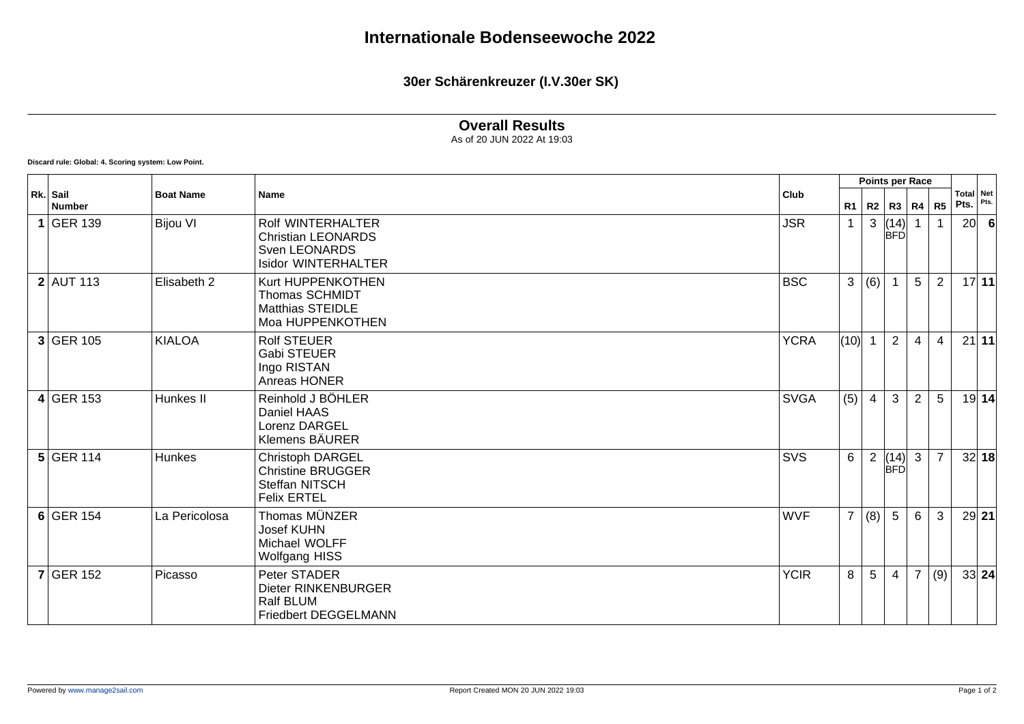**30er Schärenkreuzer (I.V.30er SK)**

## **Overall Results**

As of 20 JUN 2022 At 19:03

**Discard rule: Global: 4. Scoring system: Low Point.**

| Rk. Sail<br><b>Number</b> | <b>Boat Name</b> | <b>Name</b>                                                                                          | Club        | Points per Race |                |                    |                |                |                   |       |
|---------------------------|------------------|------------------------------------------------------------------------------------------------------|-------------|-----------------|----------------|--------------------|----------------|----------------|-------------------|-------|
|                           |                  |                                                                                                      |             | R1              |                | R2   R3   R4       |                | <b>R5</b>      | Total Net<br>Pts. | Pts.  |
| $1$ GER 139               | <b>Bijou VI</b>  | Rolf WINTERHALTER<br><b>Christian LEONARDS</b><br><b>Sven LEONARDS</b><br><b>Isidor WINTERHALTER</b> | <b>JSR</b>  | $\mathbf{1}$    | 3              | (14)<br><b>BFD</b> |                |                | 20                | 6     |
| $2$ AUT 113               | Elisabeth 2      | Kurt HUPPENKOTHEN<br><b>Thomas SCHMIDT</b><br><b>Matthias STEIDLE</b><br>Moa HUPPENKOTHEN            | <b>BSC</b>  | $\mathbf{3}$    | (6)            |                    | 5              | $\overline{2}$ |                   | 17 11 |
| $3$ GER 105               | <b>KIALOA</b>    | <b>Rolf STEUER</b><br>Gabi STEUER<br>Ingo RISTAN<br>Anreas HONER                                     | <b>YCRA</b> | (10)            |                | $\overline{2}$     | $\overline{4}$ | $\overline{4}$ |                   | 21 11 |
| $4$ GER 153               | Hunkes II        | Reinhold J BÖHLER<br>Daniel HAAS<br>Lorenz DARGEL<br>Klemens BÄURER                                  | <b>SVGA</b> | (5)             | $\overline{4}$ | $\mathbf{3}$       | $\overline{2}$ | 5              |                   | 19 14 |
| $5$ GER 114               | <b>Hunkes</b>    | Christoph DARGEL<br><b>Christine BRUGGER</b><br>Steffan NITSCH<br><b>Felix ERTEL</b>                 | SVS         | 6               | $\overline{2}$ | (14)<br><b>BFD</b> | $\mathbf{3}$   | $\overline{7}$ |                   | 32 18 |
| $6$ GER 154               | La Pericolosa    | Thomas MÜNZER<br><b>Josef KUHN</b><br>Michael WOLFF<br><b>Wolfgang HISS</b>                          | <b>WVF</b>  | $\overline{7}$  | (8)            | $5\overline{)}$    | 6              | 3              |                   | 29 21 |
| $7$ GER 152               | Picasso          | Peter STADER<br>Dieter RINKENBURGER<br>Ralf BLUM<br>Friedbert DEGGELMANN                             | <b>YCIR</b> | 8               | 5              | $\overline{4}$     | $\overline{7}$ | (9)            |                   | 33 24 |